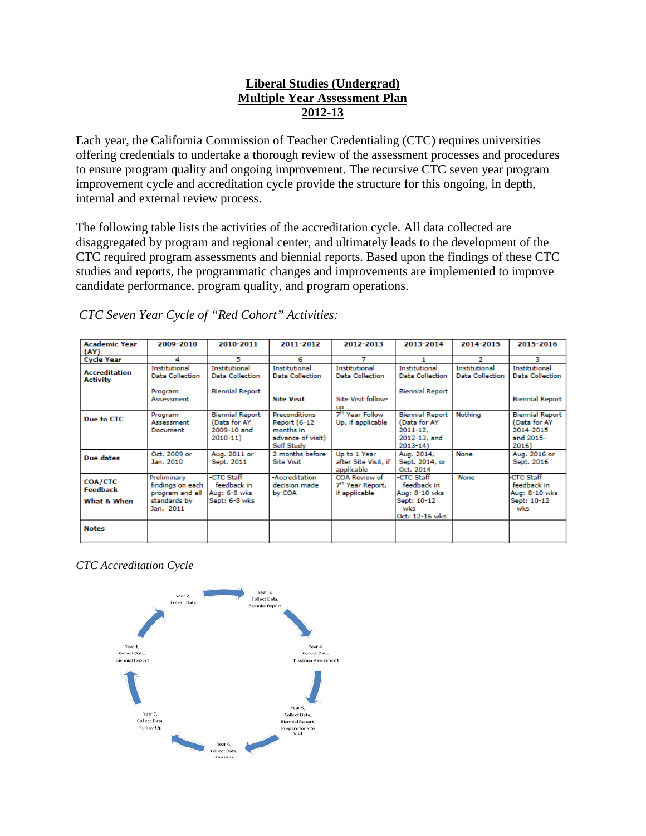# **Liberal Studies (Undergrad) Multiple Year Assessment Plan 2012-13**

Each year, the California Commission of Teacher Credentialing (CTC) requires universities offering credentials to undertake a thorough review of the assessment processes and procedures to ensure program quality and ongoing improvement. The recursive CTC seven year program improvement cycle and accreditation cycle provide the structure for this ongoing, in depth, internal and external review process.

The following table lists the activities of the accreditation cycle. All data collected are disaggregated by program and regional center, and ultimately leads to the development of the CTC required program assessments and biennial reports. Based upon the findings of these CTC studies and reports, the programmatic changes and improvements are implemented to improve candidate performance, program quality, and program operations.

| <b>Academic Year</b><br>(AY)            | 2009-2010                                                                       | 2010-2011                                                                | 2011-2012                                                                            | 2012-2013                                                            | 2013-2014                                                                             | 2014-2015                                      | 2015-2016                                                                 |
|-----------------------------------------|---------------------------------------------------------------------------------|--------------------------------------------------------------------------|--------------------------------------------------------------------------------------|----------------------------------------------------------------------|---------------------------------------------------------------------------------------|------------------------------------------------|---------------------------------------------------------------------------|
| <b>Cycle Year</b>                       | 4                                                                               | 5                                                                        | 6                                                                                    | 7                                                                    |                                                                                       | 2                                              | з                                                                         |
| <b>Accreditation</b><br><b>Activity</b> | <b>Institutional</b><br><b>Data Collection</b><br>Program<br>Assessment         | <b>Institutional</b><br><b>Data Collection</b><br><b>Biennial Report</b> | <b>Institutional</b><br><b>Data Collection</b><br><b>Site Visit</b>                  | <b>Institutional</b><br><b>Data Collection</b><br>Site Visit follow- | <b>Institutional</b><br><b>Data Collection</b><br><b>Biennial Report</b>              | <b>Institutional</b><br><b>Data Collection</b> | <b>Institutional</b><br><b>Data Collection</b><br><b>Biennial Report</b>  |
| Due to CTC                              | Program<br>Assessment<br>Document                                               | <b>Biennial Report</b><br>(Data for AY<br>2009-10 and<br>$2010 - 11$     | Preconditions<br><b>Report (6-12</b><br>months in<br>advance of visit)<br>Self Study | <b>UP</b><br>7 <sup>th</sup> Year Follow<br>Up, if applicable        | <b>Biennial Report</b><br>(Data for AY<br>$2011 - 12.$<br>2012-13, and<br>$2013 - 14$ | Nothing                                        | <b>Biennial Report</b><br>(Data for AY<br>2014-2015<br>and 2015-<br>2016) |
| Due dates                               | Oct. 2009 or<br>Jan. 2010                                                       | Aug. 2011 or<br>Sept. 2011                                               | 2 months before<br><b>Site Visit</b>                                                 | Up to 1 Year<br>after Site Visit, if<br>applicable                   | Aug. 2014,<br>Sept. 2014, or<br>Oct. 2014                                             | None                                           | Aug. 2016 or<br>Sept. 2016                                                |
| COA/CTC<br>Feedback<br>What & When      | Preliminary<br>findings on each<br>program and all<br>standards by<br>Jan. 2011 | -CTC Staff<br>feedback in<br>Aug: 6-8 wks<br>Sept: 6-8 wks               | -Accreditation<br>decision made<br>by COA                                            | COA Review of<br>7 <sup>th</sup> Year Report,<br>if applicable       | -CTC Staff<br>feedback in<br>Aug: 8-10 wks<br>Sept: 10-12<br>wks<br>Oct: 12-16 wks    | None                                           | <b>CTC Staff</b><br>feedback in<br>Aug: 8-10 wks<br>Sept: 10-12<br>wks    |
| <b>Notes</b>                            |                                                                                 |                                                                          |                                                                                      |                                                                      |                                                                                       |                                                |                                                                           |

*CTC Seven Year Cycle of "Red Cohort" Activities:*

*CTC Accreditation Cycle*

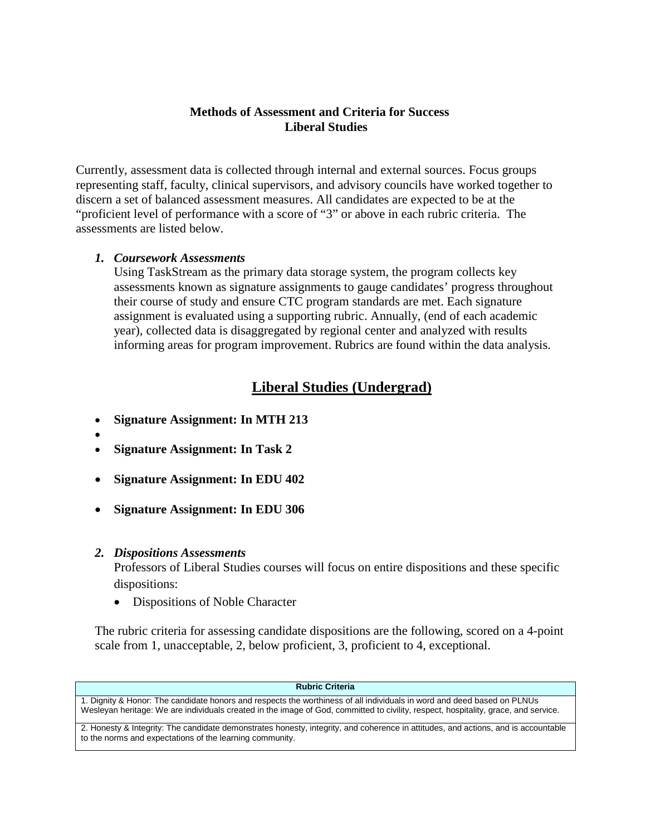### **Methods of Assessment and Criteria for Success Liberal Studies**

Currently, assessment data is collected through internal and external sources. Focus groups representing staff, faculty, clinical supervisors, and advisory councils have worked together to discern a set of balanced assessment measures. All candidates are expected to be at the "proficient level of performance with a score of "3" or above in each rubric criteria. The assessments are listed below.

## *1. Coursework Assessments*

Using TaskStream as the primary data storage system, the program collects key assessments known as signature assignments to gauge candidates' progress throughout their course of study and ensure CTC program standards are met. Each signature assignment is evaluated using a supporting rubric. Annually, (end of each academic year), collected data is disaggregated by regional center and analyzed with results informing areas for program improvement. Rubrics are found within the data analysis.

# **Liberal Studies (Undergrad)**

- **Signature Assignment: In MTH 213**
- • **Signature Assignment: In Task 2**
- **Signature Assignment: In EDU 402**
- **Signature Assignment: In EDU 306**

## *2. Dispositions Assessments*

Professors of Liberal Studies courses will focus on entire dispositions and these specific dispositions:

• Dispositions of Noble Character

The rubric criteria for assessing candidate dispositions are the following, scored on a 4-point scale from 1, unacceptable, 2, below proficient, 3, proficient to 4, exceptional.

#### **Rubric Criteria**

1. Dignity & Honor: The candidate honors and respects the worthiness of all individuals in word and deed based on PLNUs Wesleyan heritage: We are individuals created in the image of God, committed to civility, respect, hospitality, grace, and service.

2. Honesty & Integrity: The candidate demonstrates honesty, integrity, and coherence in attitudes, and actions, and is accountable to the norms and expectations of the learning community.